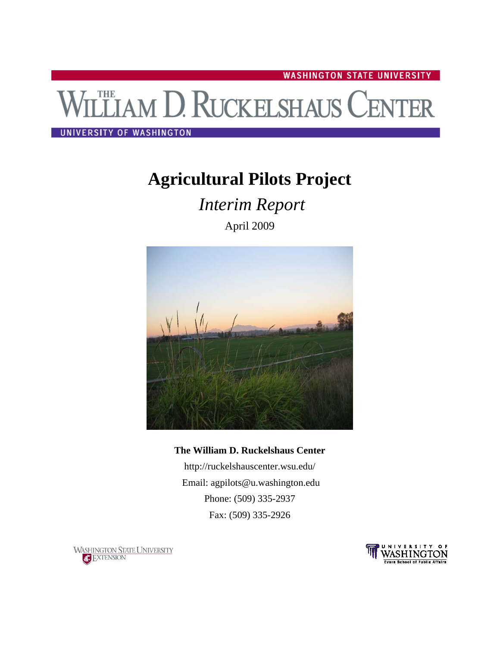**WASHINGTON STATE UNIVERSITY** 

# **THE AM D. RUCKELSHAUS CENTER**

### UNIVERSITY OF WASHINGTON

# **Agricultural Pilots Project**

 *Interim Report* 

April 2009



# **The William D. Ruckelshaus Center**

<http://ruckelshauscenter.wsu.edu/> Email: [agpilots@u.washington.edu](mailto:agpilots@u.washington.edu)  Phone: (509) 335-2937 Fax: (509) 335-2926



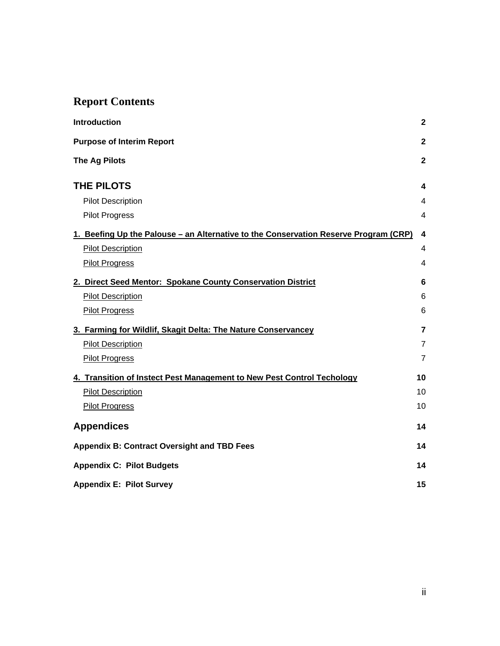# **Report Contents**

| <b>Introduction</b>                                                                  | $\boldsymbol{2}$        |
|--------------------------------------------------------------------------------------|-------------------------|
| <b>Purpose of Interim Report</b>                                                     | $\overline{\mathbf{2}}$ |
| <b>The Ag Pilots</b>                                                                 | $\overline{\mathbf{2}}$ |
| THE PILOTS                                                                           | 4                       |
| <b>Pilot Description</b>                                                             | 4                       |
| <b>Pilot Progress</b>                                                                | 4                       |
| 1. Beefing Up the Palouse – an Alternative to the Conservation Reserve Program (CRP) | $\overline{\mathbf{4}}$ |
| <b>Pilot Description</b>                                                             | 4                       |
| <b>Pilot Progress</b>                                                                | 4                       |
| 2. Direct Seed Mentor: Spokane County Conservation District                          | 6                       |
| <b>Pilot Description</b>                                                             | 6                       |
| <b>Pilot Progress</b>                                                                | 6                       |
| 3. Farming for Wildlif, Skagit Delta: The Nature Conservancey                        | $\overline{7}$          |
| <b>Pilot Description</b>                                                             | $\overline{7}$          |
| <b>Pilot Progress</b>                                                                | $\overline{7}$          |
| 4. Transition of Instect Pest Management to New Pest Control Techology               | 10                      |
| <b>Pilot Description</b>                                                             | 10                      |
| <b>Pilot Progress</b>                                                                | 10                      |
| <b>Appendices</b>                                                                    | 14                      |
| <b>Appendix B: Contract Oversight and TBD Fees</b>                                   | 14                      |
| <b>Appendix C: Pilot Budgets</b>                                                     | 14                      |
| <b>Appendix E: Pilot Survey</b>                                                      | 15                      |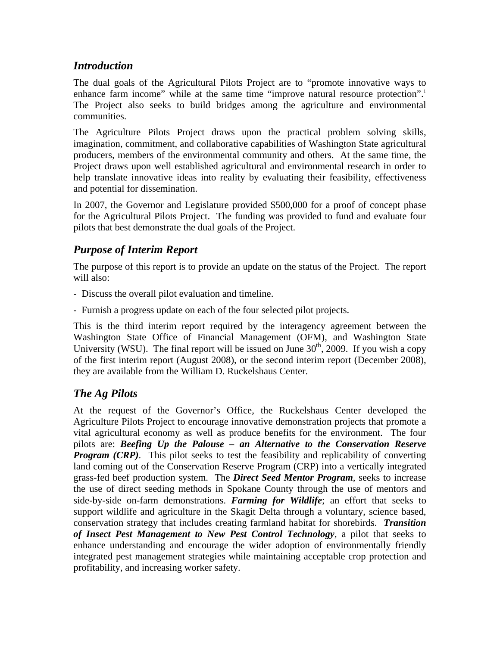# <span id="page-2-0"></span>*Introduction*

The dual goals of the Agricultural Pilots Project are to "promote innovative ways to enhance farm income" while at the same time "improve natural resource protection".<sup>1</sup> The Project also seeks to build bridges among the agriculture and environmental communities.

The Agriculture Pilots Project draws upon the practical problem solving skills, imagination, commitment, and collaborative capabilities of Washington State agricultural producers, members of the environmental community and others. At the same time, the Project draws upon well established agricultural and environmental research in order to help translate innovative ideas into reality by evaluating their feasibility, effectiveness and potential for dissemination.

In 2007, the Governor and Legislature provided \$500,000 for a proof of concept phase for the Agricultural Pilots Project. The funding was provided to fund and evaluate four pilots that best demonstrate the dual goals of the Project.

# *Purpose of Interim Report*

The purpose of this report is to provide an update on the status of the Project. The report will also:

- Discuss the overall pilot evaluation and timeline.
- Furnish a progress update on each of the four selected pilot projects.

This is the third interim report required by the interagency agreement between the Washington State Office of Financial Management (OFM), and Washington State University (WSU). The final report will be issued on June  $30<sup>th</sup>$ , 2009. If you wish a copy of the first interim report (August 2008), or the second interim report (December 2008), they are available from the William D. Ruckelshaus Center.

# *The Ag Pilots*

At the request of the Governor's Office, the Ruckelshaus Center developed the Agriculture Pilots Project to encourage innovative demonstration projects that promote a vital agricultural economy as well as produce benefits for the environment. The four pilots are: *Beefing Up the Palouse – an Alternative to the Conservation Reserve Program (CRP)*. This pilot seeks to test the feasibility and replicability of converting land coming out of the Conservation Reserve Program (CRP) into a vertically integrated grass-fed beef production system. The *Direct Seed Mentor Program*, seeks to increase the use of direct seeding methods in Spokane County through the use of mentors and side-by-side on-farm demonstrations. *Farming for Wildlife*; an effort that seeks to support wildlife and agriculture in the Skagit Delta through a voluntary, science based, conservation strategy that includes creating farmland habitat for shorebirds. *Transition of Insect Pest Management to New Pest Control Technology,* a pilot that seeks to enhance understanding and encourage the wider adoption of environmentally friendly integrated pest management strategies while maintaining acceptable crop protection and profitability, and increasing worker safety.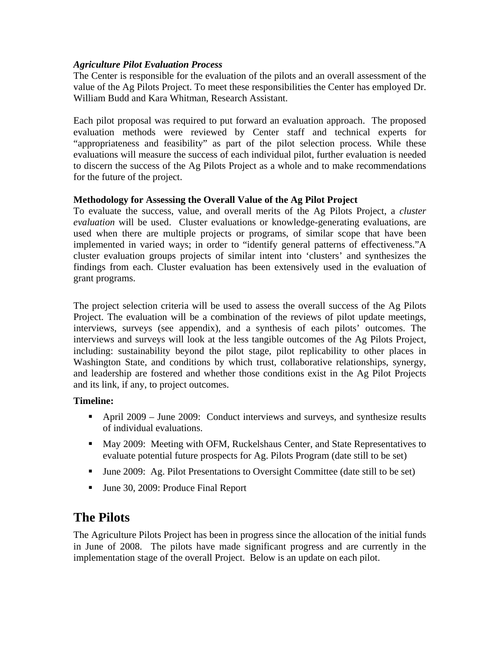## <span id="page-3-0"></span>*Agriculture Pilot Evaluation Process*

The Center is responsible for the evaluation of the pilots and an overall assessment of the value of the Ag Pilots Project. To meet these responsibilities the Center has employed Dr. William Budd and Kara Whitman, Research Assistant.

Each pilot proposal was required to put forward an evaluation approach. The proposed evaluation methods were reviewed by Center staff and technical experts for "appropriateness and feasibility" as part of the pilot selection process. While these evaluations will measure the success of each individual pilot, further evaluation is needed to discern the success of the Ag Pilots Project as a whole and to make recommendations for the future of the project.

### **Methodology for Assessing the Overall Value of the Ag Pilot Project**

To evaluate the success, value, and overall merits of the Ag Pilots Project, a *cluster evaluation* will be used. Cluster evaluations or knowledge-generating evaluations, are used when there are multiple projects or programs, of similar scope that have been implemented in varied ways; in order to "identify general patterns of effectiveness."A cluster evaluation groups projects of similar intent into 'clusters' and synthesizes the findings from each. Cluster evaluation has been extensively used in the evaluation of grant programs.

The project selection criteria will be used to assess the overall success of the Ag Pilots Project. The evaluation will be a combination of the reviews of pilot update meetings, interviews, surveys (see appendix), and a synthesis of each pilots' outcomes. The interviews and surveys will look at the less tangible outcomes of the Ag Pilots Project, including: sustainability beyond the pilot stage, pilot replicability to other places in Washington State, and conditions by which trust, collaborative relationships, synergy, and leadership are fostered and whether those conditions exist in the Ag Pilot Projects and its link, if any, to project outcomes.

# **Timeline:**

- April 2009 June 2009: Conduct interviews and surveys, and synthesize results of individual evaluations.
- May 2009: Meeting with OFM, Ruckelshaus Center, and State Representatives to evaluate potential future prospects for Ag. Pilots Program (date still to be set)
- June 2009: Ag. Pilot Presentations to Oversight Committee (date still to be set)
- Ullet 30, 2009: Produce Final Report

# **The Pilots**

The Agriculture Pilots Project has been in progress since the allocation of the initial funds in June of 2008. The pilots have made significant progress and are currently in the implementation stage of the overall Project. Below is an update on each pilot.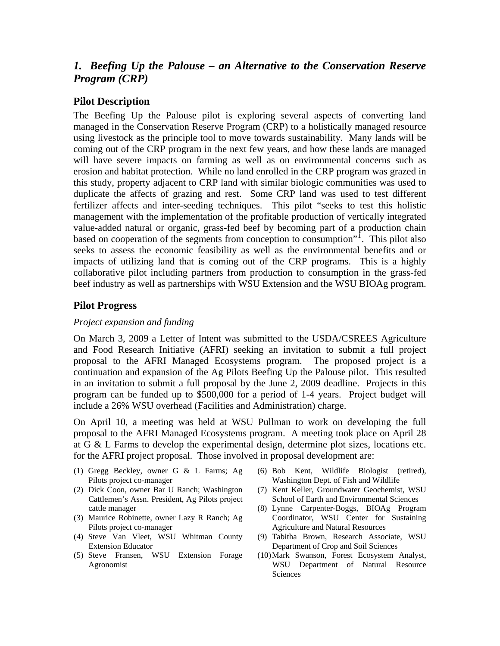# <span id="page-4-0"></span>*1. Beefing Up the Palouse – an Alternative to the Conservation Reserve Program (CRP)*

## **Pilot Description**

The Beefing Up the Palouse pilot is exploring several aspects of converting land managed in the Conservation Reserve Program (CRP) to a holistically managed resource using livestock as the principle tool to move towards sustainability. Many lands will be coming out of the CRP program in the next few years, and how these lands are managed will have severe impacts on farming as well as on environmental concerns such as erosion and habitat protection. While no land enrolled in the CRP program was grazed in this study, property adjacent to CRP land with similar biologic communities was used to duplicate the affects of grazing and rest. Some CRP land was used to test different fertilizer affects and inter-seeding techniques. This pilot "seeks to test this holistic management with the implementation of the profitable production of vertically integrated value-added natural or organic, grass-fed beef by becoming part of a production chain based on cooperation of the segments from conception to consumption". This pilot also seeks to assess the economic feasibility as well as the environmental benefits and or impacts of utilizing land that is coming out of the CRP programs. This is a highly collaborative pilot including partners from production to consumption in the grass-fed beef industry as well as partnerships with WSU Extension and the WSU BIOAg program.

#### **Pilot Progress**

#### *Project expansion and funding*

On March 3, 2009 a Letter of Intent was submitted to the USDA/CSREES Agriculture and Food Research Initiative (AFRI) seeking an invitation to submit a full project proposal to the AFRI Managed Ecosystems program. The proposed project is a continuation and expansion of the Ag Pilots Beefing Up the Palouse pilot. This resulted in an invitation to submit a full proposal by the June 2, 2009 deadline. Projects in this program can be funded up to \$500,000 for a period of 1-4 years. Project budget will include a 26% WSU overhead (Facilities and Administration) charge.

On April 10, a meeting was held at WSU Pullman to work on developing the full proposal to the AFRI Managed Ecosystems program. A meeting took place on April 28 at G & L Farms to develop the experimental design, determine plot sizes, locations etc. for the AFRI project proposal. Those involved in proposal development are:

- (1) Gregg Beckley, owner G & L Farms; Ag Pilots project co-manager
- (2) Dick Coon, owner Bar U Ranch; Washington Cattlemen's Assn. President, Ag Pilots project cattle manager
- (3) Maurice Robinette, owner Lazy R Ranch; Ag Pilots project co-manager
- (4) Steve Van Vleet, WSU Whitman County Extension Educator
- (5) Steve Fransen, WSU Extension Forage Agronomist
- (6) Bob Kent, Wildlife Biologist (retired), Washington Dept. of Fish and Wildlife
- (7) Kent Keller, Groundwater Geochemist, WSU School of Earth and Environmental Sciences
- (8) Lynne Carpenter-Boggs, BIOAg Program Coordinator, WSU Center for Sustaining Agriculture and Natural Resources
- (9) Tabitha Brown, Research Associate, WSU Department of Crop and Soil Sciences
- (10)Mark Swanson, Forest Ecosystem Analyst, WSU Department of Natural Resource Sciences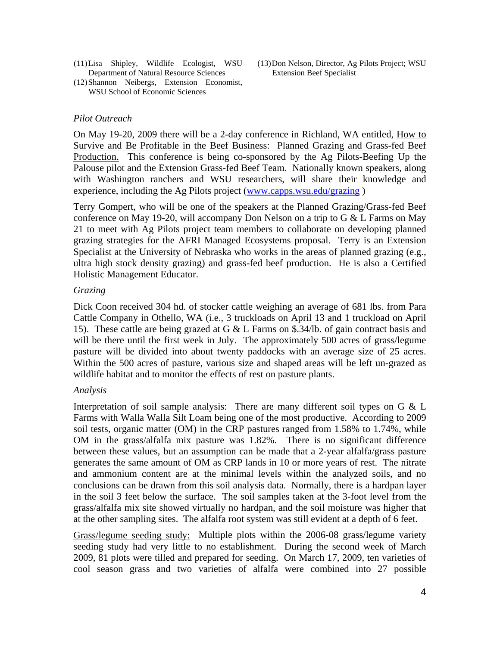- (11)Lisa Shipley, Wildlife Ecologist, WSU Department of Natural Resource Sciences
- (12)Shannon Neibergs, Extension Economist, WSU School of Economic Sciences

### *Pilot Outreach*

On May 19-20, 2009 there will be a 2-day conference in Richland, WA entitled, How to Survive and Be Profitable in the Beef Business: Planned Grazing and Grass-fed Beef Production. This conference is being co-sponsored by the Ag Pilots-Beefing Up the Palouse pilot and the Extension Grass-fed Beef Team. Nationally known speakers, along with Washington ranchers and WSU researchers, will share their knowledge and experience, including the Ag Pilots project [\(www.capps.wsu.edu/grazing](http://www.capps.wsu.edu/grazing) )

Terry Gompert, who will be one of the speakers at the Planned Grazing/Grass-fed Beef conference on May 19-20, will accompany Don Nelson on a trip to  $G \& L$  Farms on May 21 to meet with Ag Pilots project team members to collaborate on developing planned grazing strategies for the AFRI Managed Ecosystems proposal. Terry is an Extension Specialist at the University of Nebraska who works in the areas of planned grazing (e.g., ultra high stock density grazing) and grass-fed beef production. He is also a Certified Holistic Management Educator.

#### *Grazing*

Dick Coon received 304 hd. of stocker cattle weighing an average of 681 lbs. from Para Cattle Company in Othello, WA (i.e., 3 truckloads on April 13 and 1 truckload on April 15). These cattle are being grazed at G & L Farms on \$.34/lb. of gain contract basis and will be there until the first week in July. The approximately 500 acres of grass/legume pasture will be divided into about twenty paddocks with an average size of 25 acres. Within the 500 acres of pasture, various size and shaped areas will be left un-grazed as wildlife habitat and to monitor the effects of rest on pasture plants.

#### *Analysis*

Interpretation of soil sample analysis: There are many different soil types on  $G \& L$ Farms with Walla Walla Silt Loam being one of the most productive. According to 2009 soil tests, organic matter (OM) in the CRP pastures ranged from 1.58% to 1.74%, while OM in the grass/alfalfa mix pasture was 1.82%. There is no significant difference between these values, but an assumption can be made that a 2-year alfalfa/grass pasture generates the same amount of OM as CRP lands in 10 or more years of rest. The nitrate and ammonium content are at the minimal levels within the analyzed soils, and no conclusions can be drawn from this soil analysis data. Normally, there is a hardpan layer in the soil 3 feet below the surface. The soil samples taken at the 3-foot level from the grass/alfalfa mix site showed virtually no hardpan, and the soil moisture was higher that at the other sampling sites. The alfalfa root system was still evident at a depth of 6 feet.

Grass/legume seeding study: Multiple plots within the 2006-08 grass/legume variety seeding study had very little to no establishment. During the second week of March 2009, 81 plots were tilled and prepared for seeding. On March 17, 2009, ten varieties of cool season grass and two varieties of alfalfa were combined into 27 possible

(13)Don Nelson, Director, Ag Pilots Project; WSU Extension Beef Specialist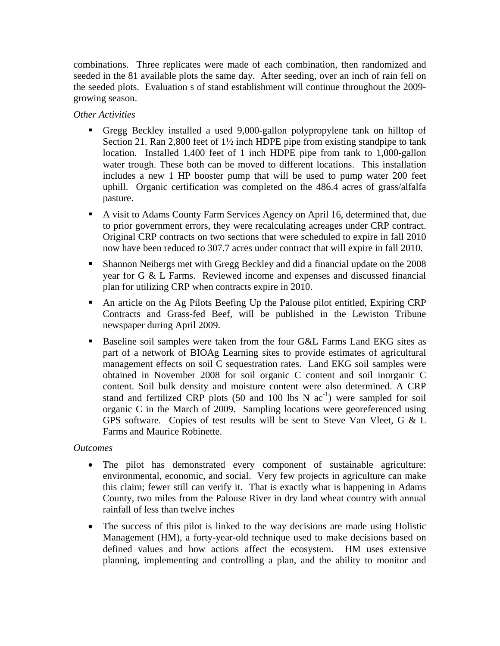combinations. Three replicates were made of each combination, then randomized and seeded in the 81 available plots the same day. After seeding, over an inch of rain fell on the seeded plots. Evaluation s of stand establishment will continue throughout the 2009 growing season.

## *Other Activities*

- Gregg Beckley installed a used 9,000-gallon polypropylene tank on hilltop of Section 21. Ran 2,800 feet of 1½ inch HDPE pipe from existing standpipe to tank location. Installed 1,400 feet of 1 inch HDPE pipe from tank to 1,000-gallon water trough. These both can be moved to different locations. This installation includes a new 1 HP booster pump that will be used to pump water 200 feet uphill. Organic certification was completed on the 486.4 acres of grass/alfalfa pasture.
- A visit to Adams County Farm Services Agency on April 16, determined that, due to prior government errors, they were recalculating acreages under CRP contract. Original CRP contracts on two sections that were scheduled to expire in fall 2010 now have been reduced to 307.7 acres under contract that will expire in fall 2010.
- Shannon Neibergs met with Gregg Beckley and did a financial update on the 2008 year for G & L Farms. Reviewed income and expenses and discussed financial plan for utilizing CRP when contracts expire in 2010.
- An article on the Ag Pilots Beefing Up the Palouse pilot entitled, Expiring CRP Contracts and Grass-fed Beef, will be published in the Lewiston Tribune newspaper during April 2009.
- Baseline soil samples were taken from the four G&L Farms Land EKG sites as part of a network of BIOAg Learning sites to provide estimates of agricultural management effects on soil C sequestration rates. Land EKG soil samples were obtained in November 2008 for soil organic C content and soil inorganic C content. Soil bulk density and moisture content were also determined. A CRP stand and fertilized CRP plots (50 and 100 lbs N  $ac^{-1}$ ) were sampled for soil organic C in the March of 2009. Sampling locations were georeferenced using GPS software. Copies of test results will be sent to Steve Van Vleet, G & L Farms and Maurice Robinette.

# *Outcomes*

- The pilot has demonstrated every component of sustainable agriculture: environmental, economic, and social. Very few projects in agriculture can make this claim; fewer still can verify it. That is exactly what is happening in Adams County, two miles from the Palouse River in dry land wheat country with annual rainfall of less than twelve inches
- The success of this pilot is linked to the way decisions are made using Holistic Management (HM), a forty-year-old technique used to make decisions based on defined values and how actions affect the ecosystem. HM uses extensive planning, implementing and controlling a plan, and the ability to monitor and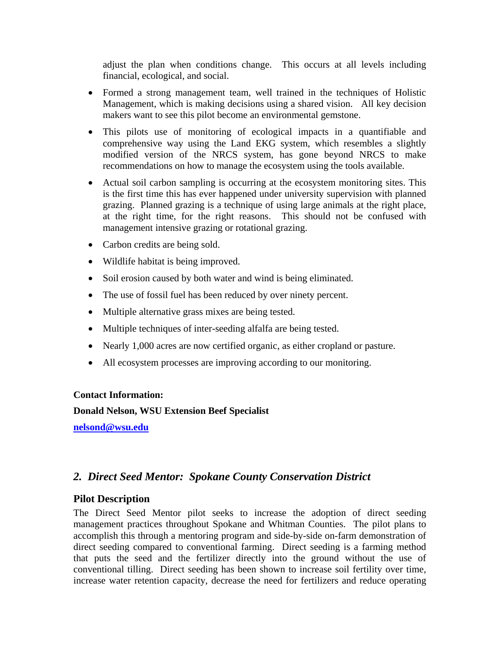<span id="page-7-0"></span>adjust the plan when conditions change. This occurs at all levels including financial, ecological, and social.

- Formed a strong management team, well trained in the techniques of Holistic Management, which is making decisions using a shared vision. All key decision makers want to see this pilot become an environmental gemstone.
- This pilots use of monitoring of ecological impacts in a quantifiable and comprehensive way using the Land EKG system, which resembles a slightly modified version of the NRCS system, has gone beyond NRCS to make recommendations on how to manage the ecosystem using the tools available.
- Actual soil carbon sampling is occurring at the ecosystem monitoring sites. This is the first time this has ever happened under university supervision with planned grazing. Planned grazing is a technique of using large animals at the right place, at the right time, for the right reasons. This should not be confused with management intensive grazing or rotational grazing.
- Carbon credits are being sold.
- Wildlife habitat is being improved.
- Soil erosion caused by both water and wind is being eliminated.
- The use of fossil fuel has been reduced by over ninety percent.
- Multiple alternative grass mixes are being tested.
- Multiple techniques of inter-seeding alfalfa are being tested.
- Nearly 1,000 acres are now certified organic, as either cropland or pasture.
- All ecosystem processes are improving according to our monitoring.

#### **Contact Information:**

**Donald Nelson, WSU Extension Beef Specialist** 

**[nelsond@wsu.edu](mailto:nelsond@wsu.edu)**

# *2. Direct Seed Mentor: Spokane County Conservation District*

#### **Pilot Description**

The Direct Seed Mentor pilot seeks to increase the adoption of direct seeding management practices throughout Spokane and Whitman Counties. The pilot plans to accomplish this through a mentoring program and side-by-side on-farm demonstration of direct seeding compared to conventional farming. Direct seeding is a farming method that puts the seed and the fertilizer directly into the ground without the use of conventional tilling. Direct seeding has been shown to increase soil fertility over time, increase water retention capacity, decrease the need for fertilizers and reduce operating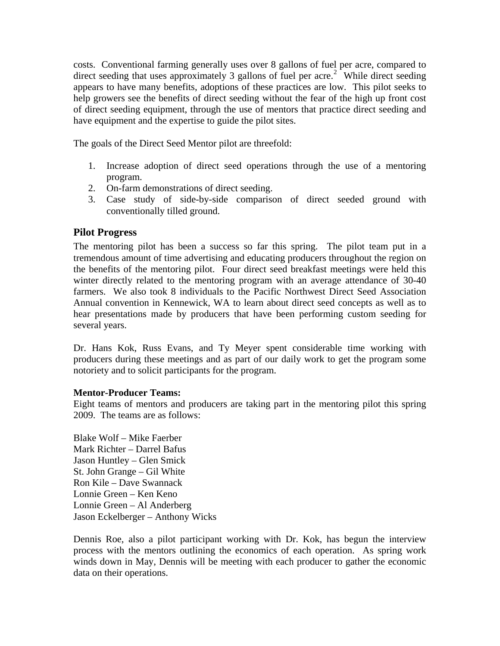<span id="page-8-0"></span>costs. Conventional farming generally uses over 8 gallons of fuel per acre, compared to direct seeding that uses approximately 3 gallons of fuel per acre.<sup>[2](#page-30-1)</sup> While direct seeding appears to have many benefits, adoptions of these practices are low. This pilot seeks to help growers see the benefits of direct seeding without the fear of the high up front cost of direct seeding equipment, through the use of mentors that practice direct seeding and have equipment and the expertise to guide the pilot sites.

The goals of the Direct Seed Mentor pilot are threefold:

- 1. Increase adoption of direct seed operations through the use of a mentoring program.
- 2. On-farm demonstrations of direct seeding.
- 3. Case study of side-by-side comparison of direct seeded ground with conventionally tilled ground.

# **Pilot Progress**

The mentoring pilot has been a success so far this spring. The pilot team put in a tremendous amount of time advertising and educating producers throughout the region on the benefits of the mentoring pilot. Four direct seed breakfast meetings were held this winter directly related to the mentoring program with an average attendance of 30-40 farmers. We also took 8 individuals to the Pacific Northwest Direct Seed Association Annual convention in Kennewick, WA to learn about direct seed concepts as well as to hear presentations made by producers that have been performing custom seeding for several years.

Dr. Hans Kok, Russ Evans, and Ty Meyer spent considerable time working with producers during these meetings and as part of our daily work to get the program some notoriety and to solicit participants for the program.

#### **Mentor-Producer Teams:**

Eight teams of mentors and producers are taking part in the mentoring pilot this spring 2009. The teams are as follows:

Blake Wolf – Mike Faerber Mark Richter – Darrel Bafus Jason Huntley – Glen Smick St. John Grange – Gil White Ron Kile – Dave Swannack Lonnie Green – Ken Keno Lonnie Green – Al Anderberg Jason Eckelberger – Anthony Wicks

Dennis Roe, also a pilot participant working with Dr. Kok, has begun the interview process with the mentors outlining the economics of each operation. As spring work winds down in May, Dennis will be meeting with each producer to gather the economic data on their operations.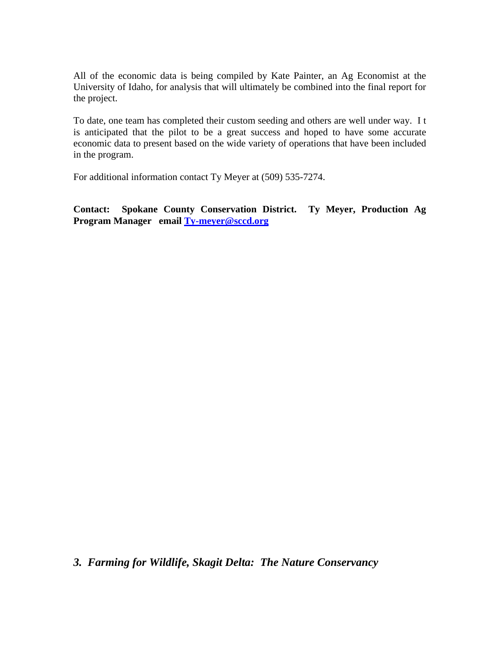All of the economic data is being compiled by Kate Painter, an Ag Economist at the University of Idaho, for analysis that will ultimately be combined into the final report for the project.

To date, one team has completed their custom seeding and others are well under way. I t is anticipated that the pilot to be a great success and hoped to have some accurate economic data to present based on the wide variety of operations that have been included in the program.

For additional information contact Ty Meyer at (509) 535-7274.

**Contact: Spokane County Conservation [Di](mailto:Ty-meyer@sccd.org)strict. Ty Meyer, Production Ag Program Manager email [Ty-meyer@sccd.org](mailto:Ty-meyer@sccd.org)**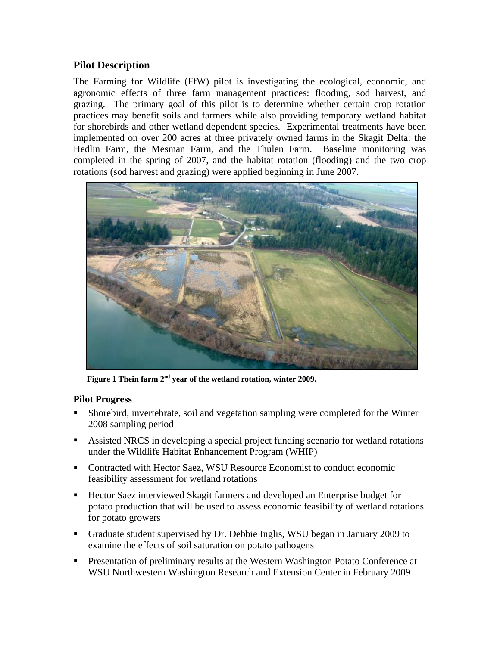# <span id="page-10-0"></span>**Pilot Description**

The Farming for Wildlife (FfW) pilot is investigating the ecological, economic, and agronomic effects of three farm management practices: flooding, sod harvest, and grazing. The primary goal of this pilot is to determine whether certain crop rotation practices may benefit soils and farmers while also providing temporary wetland habitat for shorebirds and other wetland dependent species. Experimental treatments have been implemented on over 200 acres at three privately owned farms in the Skagit Delta: the Hedlin Farm, the Mesman Farm, and the Thulen Farm. Baseline monitoring was completed in the spring of 2007, and the habitat rotation (flooding) and the two crop rotations (sod harvest and grazing) were applied beginning in June 2007.



 **Figure 1 Thein farm 2nd year of the wetland rotation, winter 2009.** 

# **Pilot Progress**

- Shorebird, invertebrate, soil and vegetation sampling were completed for the Winter 2008 sampling period
- Assisted NRCS in developing a special project funding scenario for wetland rotations under the Wildlife Habitat Enhancement Program (WHIP)
- Contracted with Hector Saez, WSU Resource Economist to conduct economic feasibility assessment for wetland rotations
- Hector Saez interviewed Skagit farmers and developed an Enterprise budget for potato production that will be used to assess economic feasibility of wetland rotations for potato growers
- Graduate student supervised by Dr. Debbie Inglis, WSU began in January 2009 to examine the effects of soil saturation on potato pathogens
- **Presentation of preliminary results at the Western Washington Potato Conference at** WSU Northwestern Washington Research and Extension Center in February 2009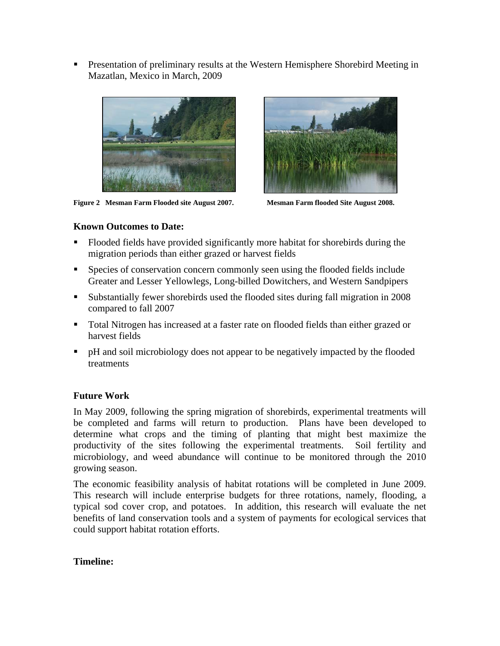**Presentation of preliminary results at the Western Hemisphere Shorebird Meeting in** Mazatlan, Mexico in March, 2009



**Figure 2 Mesman Farm Flooded site August 2007. Mesman Farm flooded Site August 2008.** 



### **Known Outcomes to Date:**

- Flooded fields have provided significantly more habitat for shorebirds during the migration periods than either grazed or harvest fields
- Species of conservation concern commonly seen using the flooded fields include Greater and Lesser Yellowlegs, Long-billed Dowitchers, and Western Sandpipers
- Substantially fewer shorebirds used the flooded sites during fall migration in 2008 compared to fall 2007
- Total Nitrogen has increased at a faster rate on flooded fields than either grazed or harvest fields
- pH and soil microbiology does not appear to be negatively impacted by the flooded treatments

# **Future Work**

In May 2009, following the spring migration of shorebirds, experimental treatments will be completed and farms will return to production. Plans have been developed to determine what crops and the timing of planting that might best maximize the productivity of the sites following the experimental treatments. Soil fertility and microbiology, and weed abundance will continue to be monitored through the 2010 growing season.

The economic feasibility analysis of habitat rotations will be completed in June 2009. This research will include enterprise budgets for three rotations, namely, flooding, a typical sod cover crop, and potatoes. In addition, this research will evaluate the net benefits of land conservation tools and a system of payments for ecological services that could support habitat rotation efforts.

# **Timeline:**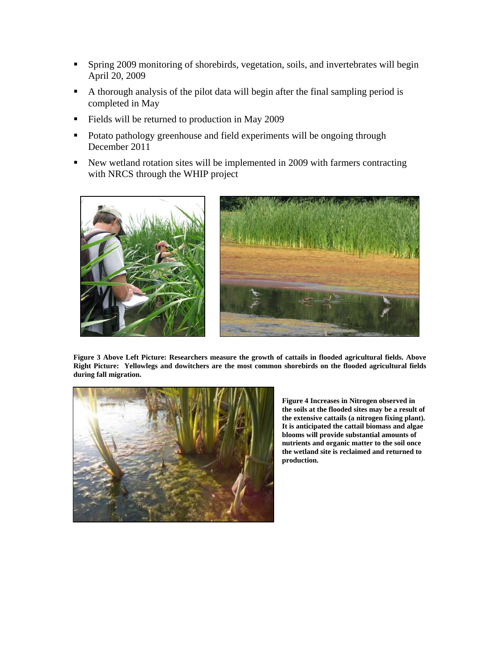- Spring 2009 monitoring of shorebirds, vegetation, soils, and invertebrates will begin April 20, 2009
- A thorough analysis of the pilot data will begin after the final sampling period is completed in May
- Fields will be returned to production in May 2009
- Potato pathology greenhouse and field experiments will be ongoing through December 2011
- New wetland rotation sites will be implemented in 2009 with farmers contracting with NRCS through the WHIP project





**Figure 3 Above Left Picture: Researchers measure the growth of cattails in flooded agricultural fields. Above Right Picture: Yellowlegs and dowitchers are the most common shorebirds on the flooded agricultural fields during fall migration.** 



**Figure 4 Increases in Nitrogen observed in the soils at the flooded sites may be a result of the extensive cattails (a nitrogen fixing plant). It is anticipated the cattail biomass and algae blooms will provide substantial amounts of nutrients and organic matter to the soil once the wetland site is reclaimed and returned to production.**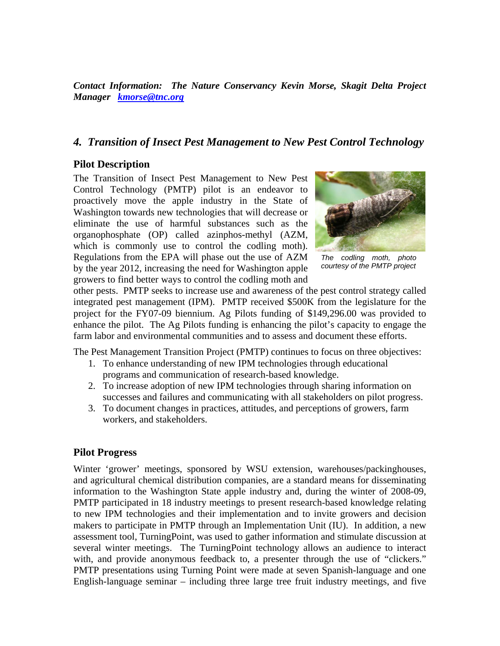<span id="page-13-0"></span>*Contact Information: The Nature Conservancy Kevin Morse, Skagit Delta Project Manager [kmorse@tnc.org](mailto:kmorse@tnc.org)*

# *4. Transition of Insect Pest Management to New Pest Control Technology*

## **Pilot Description**

The Transition of Insect Pest Management to New Pest Control Technology (PMTP) pilot is an endeavor to proactively move the apple industry in the State of Washington towards new technologies that will decrease or eliminate the use of harmful substances such as the organophosphate (OP) called azinphos-methyl (AZM, which is commonly use to control the codling moth). Regulations from the EPA will phase out the use of AZM by the year 2012, increasing the need for Washington apple growers to find better ways to control the codling moth and



*The codling moth, photo courtesy of the PMTP project* 

other pests. PMTP seeks to increase use and awareness of the pest control strategy called integrated pest management (IPM). PMTP received \$500K from the legislature for the project for the FY07-09 biennium. Ag Pilots funding of \$149,296.00 was provided to enhance the pilot. The Ag Pilots funding is enhancing the pilot's capacity to engage the farm labor and environmental communities and to assess and document these efforts.

The Pest Management Transition Project (PMTP) continues to focus on three objectives:

- 1. To enhance understanding of new IPM technologies through educational programs and communication of research-based knowledge.
- 2. To increase adoption of new IPM technologies through sharing information on successes and failures and communicating with all stakeholders on pilot progress.
- 3. To document changes in practices, attitudes, and perceptions of growers, farm workers, and stakeholders.

# **Pilot Progress**

Winter 'grower' meetings, sponsored by WSU extension, warehouses/packinghouses, and agricultural chemical distribution companies, are a standard means for disseminating information to the Washington State apple industry and, during the winter of 2008-09, PMTP participated in 18 industry meetings to present research-based knowledge relating to new IPM technologies and their implementation and to invite growers and decision makers to participate in PMTP through an Implementation Unit (IU). In addition, a new assessment tool, TurningPoint, was used to gather information and stimulate discussion at several winter meetings. The TurningPoint technology allows an audience to interact with, and provide anonymous feedback to, a presenter through the use of "clickers." PMTP presentations using Turning Point were made at seven Spanish-language and one English-language seminar – including three large tree fruit industry meetings, and five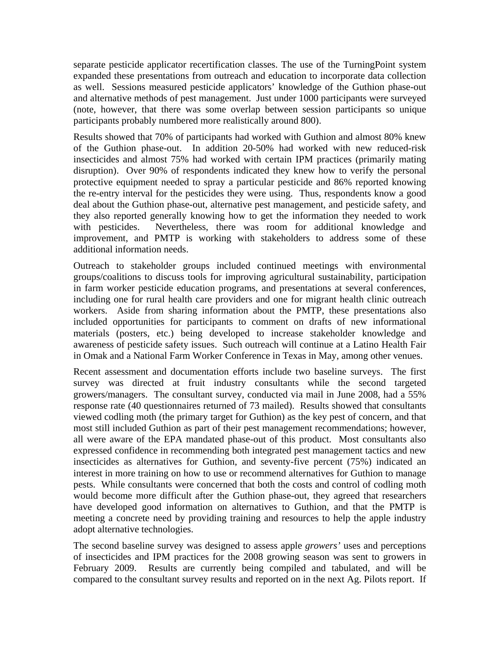separate pesticide applicator recertification classes. The use of the TurningPoint system expanded these presentations from outreach and education to incorporate data collection as well. Sessions measured pesticide applicators' knowledge of the Guthion phase-out and alternative methods of pest management. Just under 1000 participants were surveyed (note, however, that there was some overlap between session participants so unique participants probably numbered more realistically around 800).

Results showed that 70% of participants had worked with Guthion and almost 80% knew of the Guthion phase-out. In addition 20-50% had worked with new reduced-risk insecticides and almost 75% had worked with certain IPM practices (primarily mating disruption). Over 90% of respondents indicated they knew how to verify the personal protective equipment needed to spray a particular pesticide and 86% reported knowing the re-entry interval for the pesticides they were using. Thus, respondents know a good deal about the Guthion phase-out, alternative pest management, and pesticide safety, and they also reported generally knowing how to get the information they needed to work with pesticides. Nevertheless, there was room for additional knowledge and improvement, and PMTP is working with stakeholders to address some of these additional information needs.

Outreach to stakeholder groups included continued meetings with environmental groups/coalitions to discuss tools for improving agricultural sustainability, participation in farm worker pesticide education programs, and presentations at several conferences, including one for rural health care providers and one for migrant health clinic outreach workers. Aside from sharing information about the PMTP, these presentations also included opportunities for participants to comment on drafts of new informational materials (posters, etc.) being developed to increase stakeholder knowledge and awareness of pesticide safety issues. Such outreach will continue at a Latino Health Fair in Omak and a National Farm Worker Conference in Texas in May, among other venues.

Recent assessment and documentation efforts include two baseline surveys. The first survey was directed at fruit industry consultants while the second targeted growers/managers. The consultant survey, conducted via mail in June 2008, had a 55% response rate (40 questionnaires returned of 73 mailed). Results showed that consultants viewed codling moth (the primary target for Guthion) as the key pest of concern, and that most still included Guthion as part of their pest management recommendations; however, all were aware of the EPA mandated phase-out of this product. Most consultants also expressed confidence in recommending both integrated pest management tactics and new insecticides as alternatives for Guthion, and seventy-five percent (75%) indicated an interest in more training on how to use or recommend alternatives for Guthion to manage pests. While consultants were concerned that both the costs and control of codling moth would become more difficult after the Guthion phase-out, they agreed that researchers have developed good information on alternatives to Guthion, and that the PMTP is meeting a concrete need by providing training and resources to help the apple industry adopt alternative technologies.

The second baseline survey was designed to assess apple *growers'* uses and perceptions of insecticides and IPM practices for the 2008 growing season was sent to growers in February 2009. Results are currently being compiled and tabulated, and will be compared to the consultant survey results and reported on in the next Ag. Pilots report. If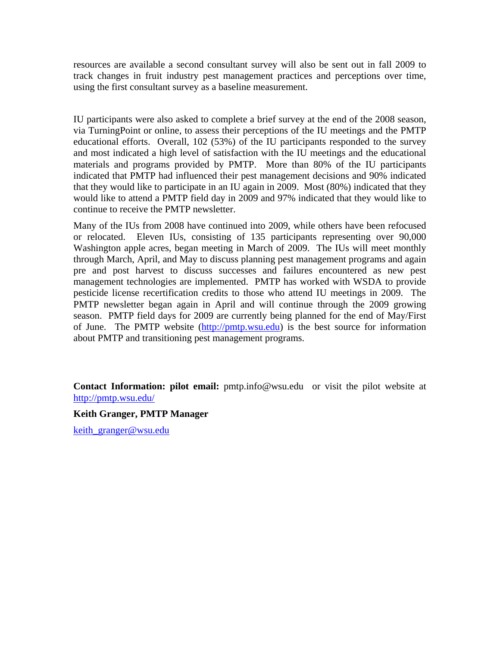resources are available a second consultant survey will also be sent out in fall 2009 to track changes in fruit industry pest management practices and perceptions over time, using the first consultant survey as a baseline measurement.

IU participants were also asked to complete a brief survey at the end of the 2008 season, via TurningPoint or online, to assess their perceptions of the IU meetings and the PMTP educational efforts. Overall, 102 (53%) of the IU participants responded to the survey and most indicated a high level of satisfaction with the IU meetings and the educational materials and programs provided by PMTP. More than 80% of the IU participants indicated that PMTP had influenced their pest management decisions and 90% indicated that they would like to participate in an IU again in 2009. Most (80%) indicated that they would like to attend a PMTP field day in 2009 and 97% indicated that they would like to continue to receive the PMTP newsletter.

Many of the IUs from 2008 have continued into 2009, while others have been refocused or relocated. Eleven IUs, consisting of 135 participants representing over 90,000 Washington apple acres, began meeting in March of 2009. The IUs will meet monthly through March, April, and May to discuss planning pest management programs and again pre and post harvest to discuss successes and failures encountered as new pest management technologies are implemented. PMTP has worked with WSDA to provide pesticide license recertification credits to those who attend IU meetings in 2009. The PMTP newsletter began again in April and will continue through the 2009 growing season. PMTP field days for 2009 are currently being planned for the end of May/First of June. The PMTP website ([http://pmtp.wsu.edu\)](http://pmtp.wsu.edu/) is the best source for information about PMTP and transitioning pest management programs.

**Contact Information: pilot email:** [pmtp.info@wsu.edu](mailto:pmtp.info@wsu.edu) or visit the pilot website at <http://pmtp.wsu.edu/>

#### **Keith Granger, PMTP Manager**

keith granger@wsu.edu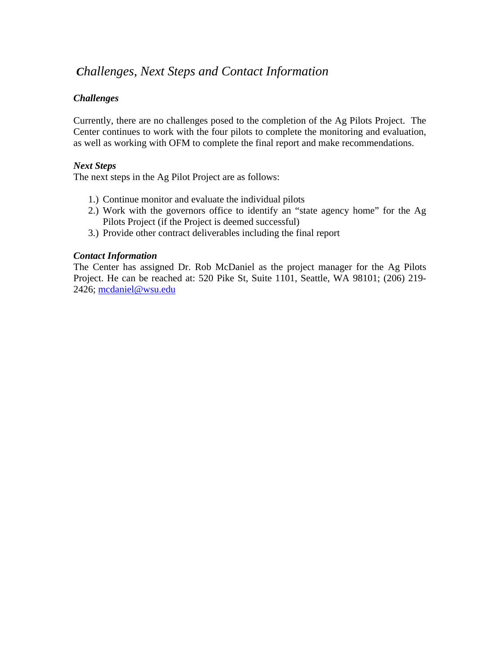# *Challenges, Next Steps and Contact Information*

# *Challenges*

Currently, there are no challenges posed to the completion of the Ag Pilots Project. The Center continues to work with the four pilots to complete the monitoring and evaluation, as well as working with OFM to complete the final report and make recommendations.

### *Next Steps*

The next steps in the Ag Pilot Project are as follows:

- 1.) Continue monitor and evaluate the individual pilots
- 2.) Work with the governors office to identify an "state agency home" for the Ag Pilots Project (if the Project is deemed successful)
- 3.) Provide other contract deliverables including the final report

### *Contact Information*

The Center has assigned Dr. Rob McDaniel as the project manager for the Ag Pilots Project. He can be reached at: 520 Pike St, Suite 1101, Seattle, WA 98101; (206) 219- 2426; [mcdaniel@wsu.edu](mailto:mcdaniel@wsu.edu)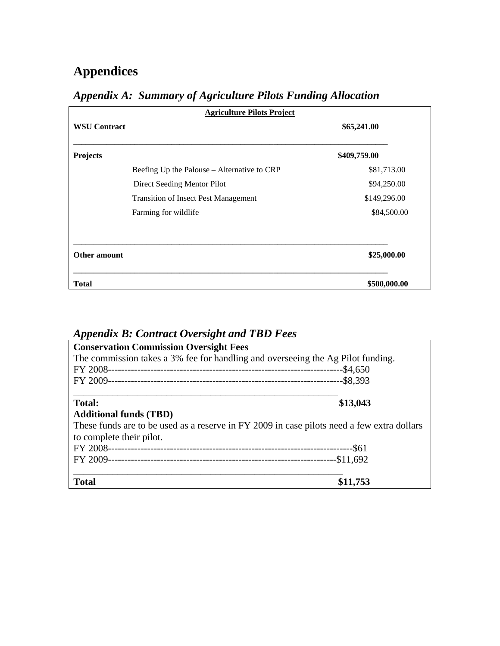# <span id="page-17-0"></span>**Appendices**

| <b>Agriculture Pilots Project</b> |                                             |              |  |  |
|-----------------------------------|---------------------------------------------|--------------|--|--|
| <b>WSU Contract</b>               | \$65,241.00                                 |              |  |  |
| <b>Projects</b>                   |                                             | \$409,759.00 |  |  |
|                                   | Beefing Up the Palouse – Alternative to CRP | \$81,713.00  |  |  |
|                                   | Direct Seeding Mentor Pilot                 | \$94,250.00  |  |  |
|                                   | <b>Transition of Insect Pest Management</b> | \$149,296.00 |  |  |
|                                   | Farming for wildlife                        | \$84,500.00  |  |  |
| <b>Other amount</b>               |                                             | \$25,000.00  |  |  |
| <b>Total</b>                      |                                             | \$500,000.00 |  |  |

# *Appendix A: Summary of Agriculture Pilots Funding Allocation*

# *Appendix B: Contract Oversight and TBD Fees*

| <b>Conservation Commission Oversight Fees</b>                                              |          |  |  |
|--------------------------------------------------------------------------------------------|----------|--|--|
| The commission takes a 3% fee for handling and overseeing the Ag Pilot funding.            |          |  |  |
|                                                                                            |          |  |  |
|                                                                                            |          |  |  |
| <b>Total:</b>                                                                              | \$13,043 |  |  |
| <b>Additional funds (TBD)</b>                                                              |          |  |  |
| These funds are to be used as a reserve in FY 2009 in case pilots need a few extra dollars |          |  |  |
| to complete their pilot.                                                                   |          |  |  |
|                                                                                            |          |  |  |
|                                                                                            |          |  |  |
| <b>Total</b>                                                                               | \$11,753 |  |  |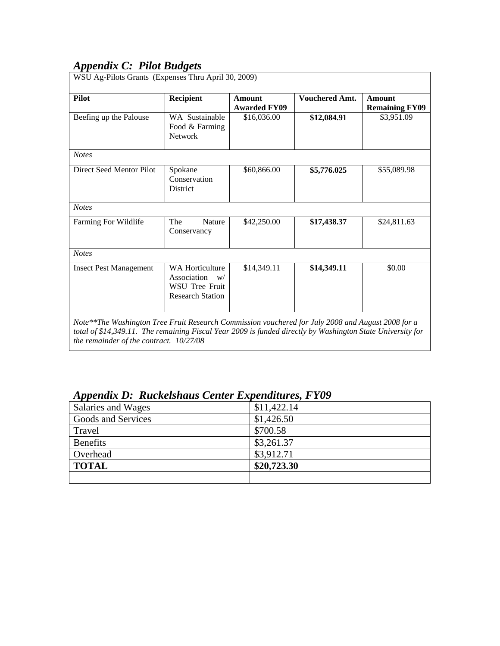# <span id="page-18-0"></span>*Appendix C: Pilot Budgets*

| <b>Pilot</b>                  | Recipient                                                                                | <b>Amount</b><br><b>Awarded FY09</b> | <b>Vouchered Amt.</b> | <b>Amount</b><br><b>Remaining FY09</b> |
|-------------------------------|------------------------------------------------------------------------------------------|--------------------------------------|-----------------------|----------------------------------------|
| Beefing up the Palouse        | WA Sustainable<br>Food & Farming<br><b>Network</b>                                       | \$16,036.00                          | \$12,084.91           | \$3,951.09                             |
| <b>Notes</b>                  |                                                                                          |                                      |                       |                                        |
| Direct Seed Mentor Pilot      | Spokane<br>Conservation<br>District                                                      | \$60,866.00                          | \$5,776.025           | \$55,089.98                            |
| <b>Notes</b>                  |                                                                                          |                                      |                       |                                        |
| Farming For Wildlife          | <b>Nature</b><br>The<br>Conservancy                                                      | \$42,250.00                          | \$17,438.37           | \$24,811.63                            |
| <b>Notes</b>                  |                                                                                          |                                      |                       |                                        |
| <b>Insect Pest Management</b> | <b>WA Horticulture</b><br>Association<br>W/<br>WSU Tree Fruit<br><b>Research Station</b> | \$14,349.11                          | \$14,349.11           | \$0.00                                 |

| Appendix D: Ruckelshaus Center Expenditures, FY09 |             |
|---------------------------------------------------|-------------|
| Salaries and Wages                                | \$11,422.14 |
| Goods and Services                                | \$1,426.50  |
| Travel                                            | \$700.58    |
| <b>Benefits</b>                                   | \$3,261.37  |
| Overhead                                          | \$3,912.71  |
| <b>TOTAL</b>                                      | \$20,723.30 |
|                                                   |             |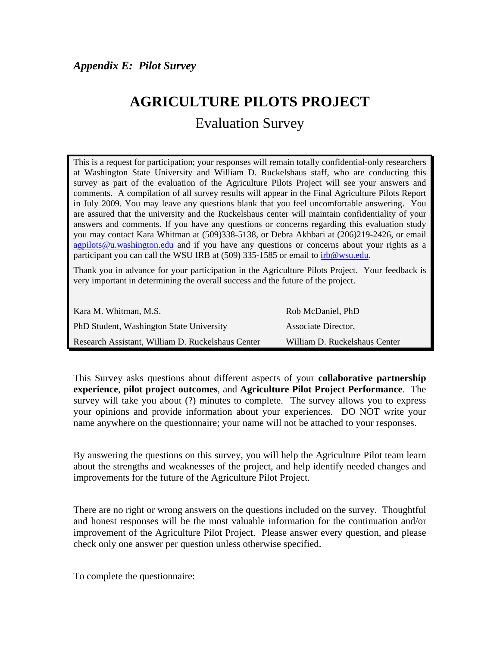# <span id="page-19-0"></span>**AGRICULTURE PILOTS PROJECT**

# Evaluation Survey

This is a request for participation; your responses will remain totally confidential-only researchers at Washington State University and William D. Ruckelshaus staff, who are conducting this survey as part of the evaluation of the Agriculture Pilots Project will see your answers and comments. A compilation of all survey results will appear in the Final Agriculture Pilots Report in July 2009. You may leave any questions blank that you feel uncomfortable answering. You are assured that the university and the Ruckelshaus center will maintain confidentiality of your answers and comments. If you have any questions or concerns regarding this evaluation study you may contact Kara Whitman at (509)338-5138, or Debra Akhbari at (206)219-2426, or email [agpilots@u.washington.edu](mailto:agpilots@u.washington.edu) and if you have any questions or concerns about your rights as a participant you can call the WSU IRB at (509) 335-1585 or email to  $irb@wsu.edu$ .

Thank you in advance for your participation in the Agriculture Pilots Project. Your feedback is very important in determining the overall success and the future of the project.

| Kara M. Whitman, M.S.                             | Rob McDaniel, PhD             |
|---------------------------------------------------|-------------------------------|
| PhD Student, Washington State University          | Associate Director,           |
| Research Assistant, William D. Ruckelshaus Center | William D. Ruckelshaus Center |

This Survey asks questions about different aspects of your **collaborative partnership experience**, **pilot project outcomes**, and **Agriculture Pilot Project Performance**. The survey will take you about (?) minutes to complete. The survey allows you to express your opinions and provide information about your experiences. DO NOT write your name anywhere on the questionnaire; your name will not be attached to your responses.

By answering the questions on this survey, you will help the Agriculture Pilot team learn about the strengths and weaknesses of the project, and help identify needed changes and improvements for the future of the Agriculture Pilot Project.

There are no right or wrong answers on the questions included on the survey. Thoughtful and honest responses will be the most valuable information for the continuation and/or improvement of the Agriculture Pilot Project. Please answer every question, and please check only one answer per question unless otherwise specified.

To complete the questionnaire: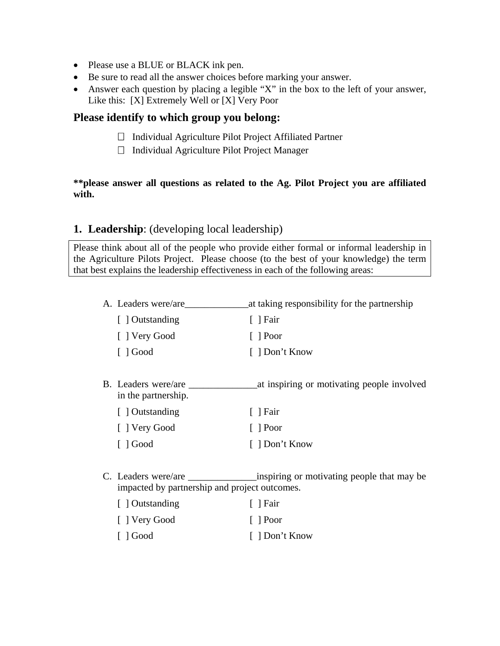- Please use a BLUE or BLACK ink pen.
- Be sure to read all the answer choices before marking your answer.
- Answer each question by placing a legible "X" in the box to the left of your answer, Like this: [X] Extremely Well or [X] Very Poor

# **Please identify to which group you belong:**

- $\Box$  Individual Agriculture Pilot Project Affiliated Partner
- $\Box$  Individual Agriculture Pilot Project Manager

# **\*\*please answer all questions as related to the Ag. Pilot Project you are affiliated with.**

# **1. Leadership**: (developing local leadership)

Please think about all of the people who provide either formal or informal leadership in the Agriculture Pilots Project. Please choose (to the best of your knowledge) the term that best explains the leadership effectiveness in each of the following areas:

| A. Leaders were/are                                         | at taking responsibility for the partnership |
|-------------------------------------------------------------|----------------------------------------------|
| [ ] Outstanding                                             | $\lceil$   Fair                              |
| [ ] Very Good                                               | $\lceil$   Poor                              |
| $\lceil$ $\lceil$ Good                                      | [ ] Don't Know                               |
|                                                             |                                              |
| B. Leaders were/are<br>in the partnership.                  | at inspiring or motivating people involved   |
| [] Outstanding                                              | $\lceil$   Fair                              |
| [ ] Very Good                                               | $\lceil$   Poor                              |
| $\lceil$ $\rfloor$ Good                                     | [ ] Don't Know                               |
|                                                             |                                              |
| impacted by partnership and project outcomes.               |                                              |
| $\mathbf{F} \cdot \mathbf{I} \cdot \mathbf{O}_{\mathbb{Z}}$ |                                              |

| Outstanding             | Fair           |
|-------------------------|----------------|
| [ ] Very Good           | $\vert$   Poor |
| $\lceil$ $\rfloor$ Good | [ ] Don't Know |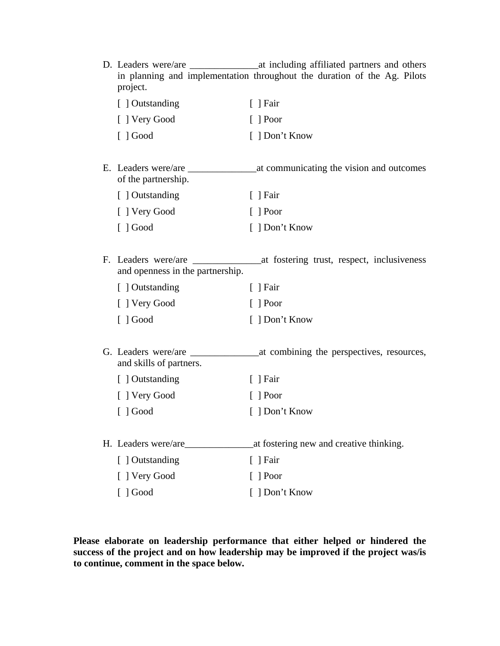| D. Leaders were/are<br>project.                         | at including affiliated partners and others<br>in planning and implementation throughout the duration of the Ag. Pilots |
|---------------------------------------------------------|-------------------------------------------------------------------------------------------------------------------------|
| [ ] Outstanding                                         | $\lceil$   Fair                                                                                                         |
| [ ] Very Good                                           | $\lceil$   Poor                                                                                                         |
| $\lceil$ ] Good                                         | [ ] Don't Know                                                                                                          |
| E. Leaders were/are<br>of the partnership.              | at communicating the vision and outcomes                                                                                |
| [ ] Outstanding                                         | $\lceil$   Fair                                                                                                         |
| [ ] Very Good                                           | $[$ Poor                                                                                                                |
| $\lceil$ ] Good                                         | [ ] Don't Know                                                                                                          |
| F. Leaders were/are<br>and openness in the partnership. | at fostering trust, respect, inclusiveness                                                                              |
| [ ] Outstanding                                         | $[$ ] Fair                                                                                                              |
| [ ] Very Good                                           | $[$ Poor                                                                                                                |
| $\lceil$ ] Good                                         | [ ] Don't Know                                                                                                          |
| G. Leaders were/are<br>and skills of partners.          | at combining the perspectives, resources,                                                                               |
| [ ] Outstanding                                         | $\lceil$   Fair                                                                                                         |
| [ ] Very Good                                           | $\lceil$   Poor                                                                                                         |
| $\lceil$ ] Good                                         | [ ] Don't Know                                                                                                          |
| H. Leaders were/are                                     | at fostering new and creative thinking.                                                                                 |
| [ ] Outstanding                                         | $[$ ] Fair                                                                                                              |
| [ ] Very Good                                           | $\lceil$   Poor                                                                                                         |
| $[ ]$ Good                                              | [ ] Don't Know                                                                                                          |

**Please elaborate on leadership performance that either helped or hindered the success of the project and on how leadership may be improved if the project was/is to continue, comment in the space below.**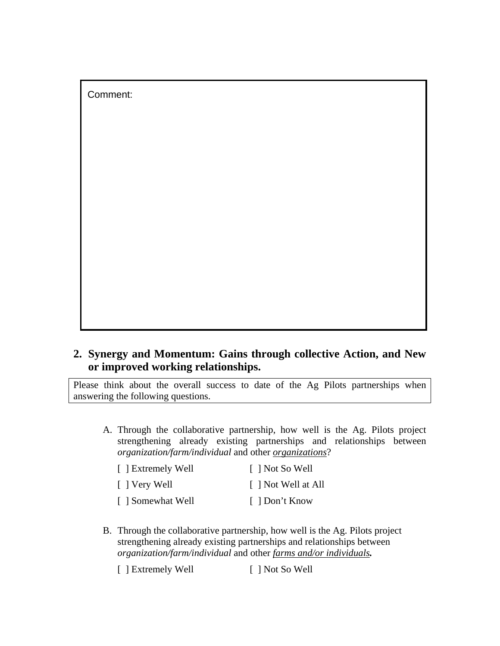Comment:

# **2. Synergy and Momentum: Gains through collective Action, and New or improved working relationships.**

Please think about the overall success to date of the Ag Pilots partnerships when answering the following questions.

A. Through the collaborative partnership, how well is the Ag. Pilots project strengthening already existing partnerships and relationships between *organization/farm/individual* and other *organizations*?

| [ ] Extremely Well | [ ] Not So Well     |
|--------------------|---------------------|
| [ ] Very Well      | [ ] Not Well at All |
| [ ] Somewhat Well  | [ ] Don't Know      |

B. Through the collaborative partnership, how well is the Ag. Pilots project strengthening already existing partnerships and relationships between *organization/farm/individual* and other *farms and/or individuals.*

[ ] Extremely Well [ ] Not So Well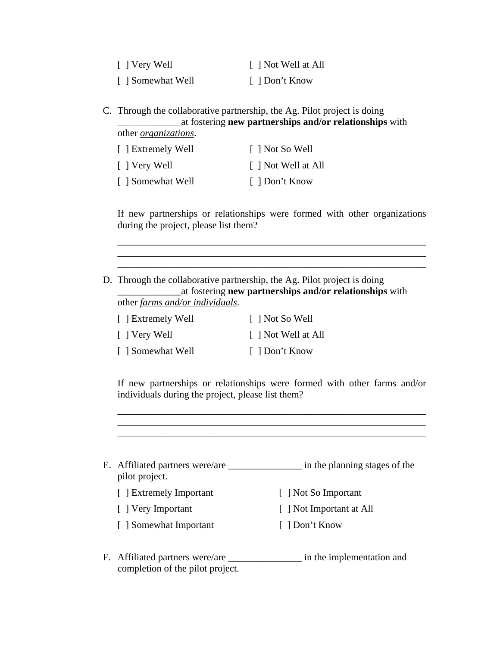| [ ] Very Well     | [ ] Not Well at All |
|-------------------|---------------------|
| [ ] Somewhat Well | [ ] Don't Know      |

C. Through the collaborative partnership, the Ag. Pilot project is doing \_\_\_\_\_\_\_\_\_\_\_\_\_at fostering **new partnerships and/or relationships** with

other *organizations*.

| [ ] Extremely Well | $\lceil$   Not So Well |
|--------------------|------------------------|
| [ ] Very Well      | [ ] Not Well at All    |
| [ ] Somewhat Well  | [ ] Don't Know         |

If new partnerships or relationships were formed with other organizations during the project, please list them?

\_\_\_\_\_\_\_\_\_\_\_\_\_\_\_\_\_\_\_\_\_\_\_\_\_\_\_\_\_\_\_\_\_\_\_\_\_\_\_\_\_\_\_\_\_\_\_\_\_\_\_\_\_\_\_\_\_\_\_\_\_\_\_

\_\_\_\_\_\_\_\_\_\_\_\_\_\_\_\_\_\_\_\_\_\_\_\_\_\_\_\_\_\_\_\_\_\_\_\_\_\_\_\_\_\_\_\_\_\_\_\_\_\_\_\_\_\_\_\_\_\_\_\_\_\_\_

D. Through the collaborative partnership, the Ag. Pilot project is doing \_\_\_\_\_\_\_\_\_\_\_\_\_at fostering **new partnerships and/or relationships** with other *farms and/or individuals*.

| [ ] Extremely Well | $\lceil$   Not So Well |
|--------------------|------------------------|
| [ ] Very Well      | [ ] Not Well at All    |
| [ ] Somewhat Well  | [ ] Don't Know         |

If new partnerships or relationships were formed with other farms and/or individuals during the project, please list them?

\_\_\_\_\_\_\_\_\_\_\_\_\_\_\_\_\_\_\_\_\_\_\_\_\_\_\_\_\_\_\_\_\_\_\_\_\_\_\_\_\_\_\_\_\_\_\_\_\_\_\_\_\_\_\_\_\_\_\_\_\_\_\_

| E. Affiliated partners were/are<br>pilot project. | in the planning stages of the |
|---------------------------------------------------|-------------------------------|
| [ ] Extremely Important                           | [ ] Not So Important          |
| [ ] Very Important                                | [ ] Not Important at All      |
| [ ] Somewhat Important                            | [ ] Don't Know                |

F. Affiliated partners were/are \_\_\_\_\_\_\_\_\_\_\_\_\_\_\_\_\_\_\_\_ in the implementation and completion of the pilot project.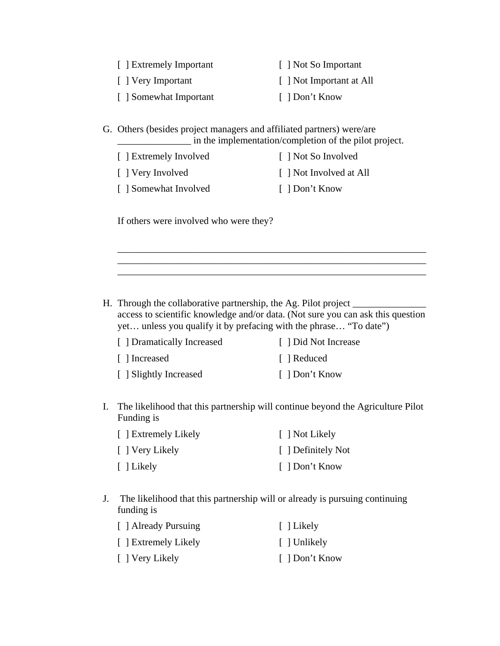| [ ] Extremely Important | [ ] Not So Important     |
|-------------------------|--------------------------|
| [ ] Very Important      | [ ] Not Important at All |
| [ ] Somewhat Important  | [ ] Don't Know           |

G. Others (besides project managers and affiliated partners) were/are \_\_\_\_\_\_\_\_\_\_\_\_\_\_\_ in the implementation/completion of the pilot project.

| [ ] Extremely Involved | [ ] Not So Involved     |
|------------------------|-------------------------|
| [ ] Very Involved      | [ ] Not Involved at All |
| [ ] Somewhat Involved  | [ ] Don't Know          |

If others were involved who were they?

H. Through the collaborative partnership, the Ag. Pilot project \_\_\_\_\_\_\_\_\_\_\_\_\_\_\_\_ access to scientific knowledge and/or data. (Not sure you can ask this question yet… unless you qualify it by prefacing with the phrase… "To date")

\_\_\_\_\_\_\_\_\_\_\_\_\_\_\_\_\_\_\_\_\_\_\_\_\_\_\_\_\_\_\_\_\_\_\_\_\_\_\_\_\_\_\_\_\_\_\_\_\_\_\_\_\_\_\_\_\_\_\_\_\_\_\_

 $\frac{1}{2}$  , and the set of the set of the set of the set of the set of the set of the set of the set of the set of the set of the set of the set of the set of the set of the set of the set of the set of the set of the set

| [ ] Dramatically Increased | [ ] Did Not Increase |
|----------------------------|----------------------|
| [ ] Increased              | [ ] Reduced          |
| [ ] Slightly Increased     | [ ] Don't Know       |

I. The likelihood that this partnership will continue beyond the Agriculture Pilot Funding is

| [ ] Extremely Likely | [ ] Not Likely     |  |
|----------------------|--------------------|--|
| [ ] Very Likely      | [ ] Definitely Not |  |
| [ ] Likely           | [ ] Don't Know     |  |

J. The likelihood that this partnership will or already is pursuing continuing funding is

| [ ] Already Pursuing | [ ] Likely     |
|----------------------|----------------|
| [ ] Extremely Likely | [ ] Unlikely   |
| [ ] Very Likely      | [ ] Don't Know |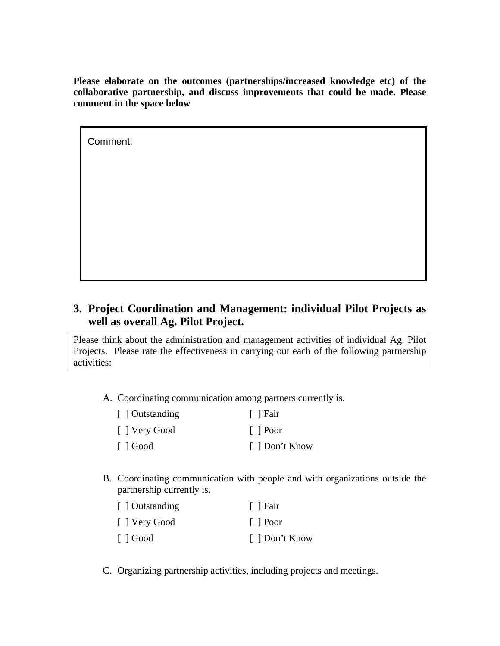**Please elaborate on the outcomes (partnerships/increased knowledge etc) of the collaborative partnership, and discuss improvements that could be made. Please comment in the space below** 

Comment:

# **3. Project Coordination and Management: individual Pilot Projects as well as overall Ag. Pilot Project.**

Please think about the administration and management activities of individual Ag. Pilot Projects. Please rate the effectiveness in carrying out each of the following partnership activities:

A. Coordinating communication among partners currently is.

| [ ] Outstanding | [ ] Fair        |  |
|-----------------|-----------------|--|
| [ ] Very Good   | $\lceil$   Poor |  |
| $\lceil$ 1 Good | [ ] Don't Know  |  |

B. Coordinating communication with people and with organizations outside the partnership currently is.

| [ ] Outstanding | [ ] Fair       |
|-----------------|----------------|
| [ ] Very Good   | $\vert$   Poor |
| $\Box$ Good     | [ ] Don't Know |

C. Organizing partnership activities, including projects and meetings.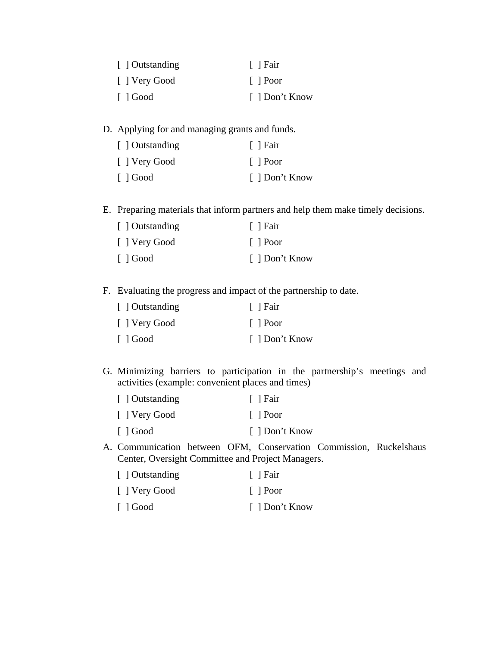| [ ] Outstanding         | [ ] Fair       |
|-------------------------|----------------|
| [ ] Very Good           | $\vert$   Poor |
| $\lceil$ $\rfloor$ Good | [ ] Don't Know |

D. Applying for and managing grants and funds.

| [ ] Outstanding | $ $   Fair     |
|-----------------|----------------|
| [ ] Very Good   | $\vert$   Poor |
| $\Box$ Good     | [ ] Don't Know |

E. Preparing materials that inform partners and help them make timely decisions.

| [ ] Outstanding         | $\lceil$   Fair |
|-------------------------|-----------------|
| [ ] Very Good           | $\vert$   Poor  |
| $\lceil$ $\rfloor$ Good | [ ] Don't Know  |

F. Evaluating the progress and impact of the partnership to date.

| [ ] Outstanding         | $\lceil$   Fair |
|-------------------------|-----------------|
| [ ] Very Good           | $\vert$   Poor  |
| $\lceil$ $\rfloor$ Good | [ ] Don't Know  |

G. Minimizing barriers to participation in the partnership's meetings and activities (example: convenient places and times)

| [ ] Outstanding         | $\lceil$   Fair |
|-------------------------|-----------------|
| [ ] Very Good           | $\vert$   Poor  |
| $\lceil$ $\rfloor$ Good | [ ] Don't Know  |

A. Communication between OFM, Conservation Commission, Ruckelshaus Center, Oversight Committee and Project Managers.

| [ ] Outstanding | [ ] Fair       |
|-----------------|----------------|
| [ ] Very Good   | $\vert$   Poor |
| $\Box$ Good     | [ ] Don't Know |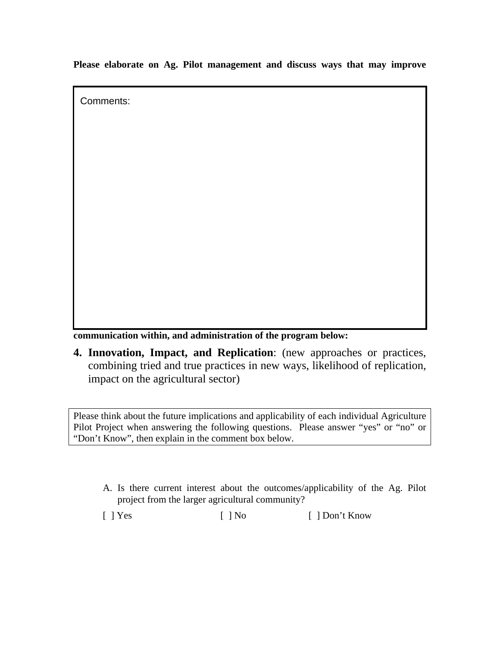**Please elaborate on Ag. Pilot management and discuss ways that may improve** 

Comments:

**communication within, and administration of the program below:** 

**4. Innovation, Impact, and Replication**: (new approaches or practices, combining tried and true practices in new ways, likelihood of replication, impact on the agricultural sector)

Please think about the future implications and applicability of each individual Agriculture Pilot Project when answering the following questions. Please answer "yes" or "no" or "Don't Know", then explain in the comment box below.

A. Is there current interest about the outcomes/applicability of the Ag. Pilot project from the larger agricultural community?

[ ] Yes [ ] No [ ] Don't Know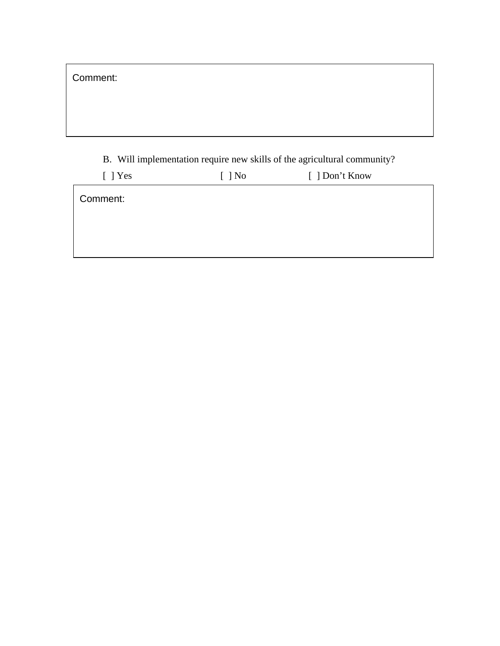B. Will implementation require new skills of the agricultural community?

| $[$ ] Yes | $[$ ] No | [ ] Don't Know |
|-----------|----------|----------------|
| Comment:  |          |                |
|           |          |                |
|           |          |                |
|           |          |                |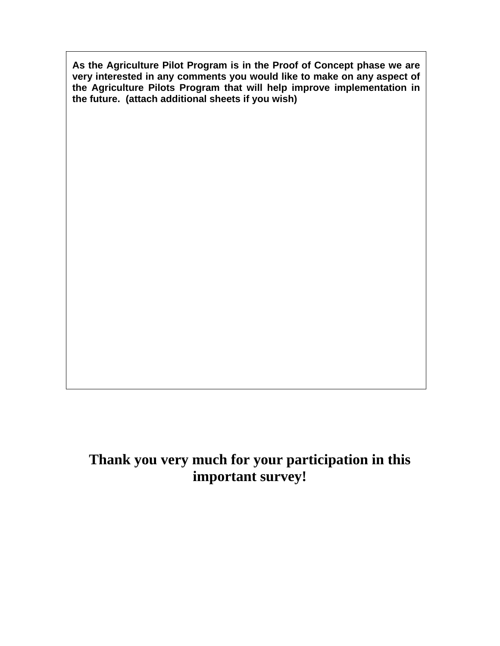**As the Agriculture Pilot Program is in the Proof of Concept phase we are very interested in any comments you would like to make on any aspect of the Agriculture Pilots Program that will help improve implementation in the future. (attach additional sheets if you wish)** 

# **Thank you very much for your participation in this important survey!**